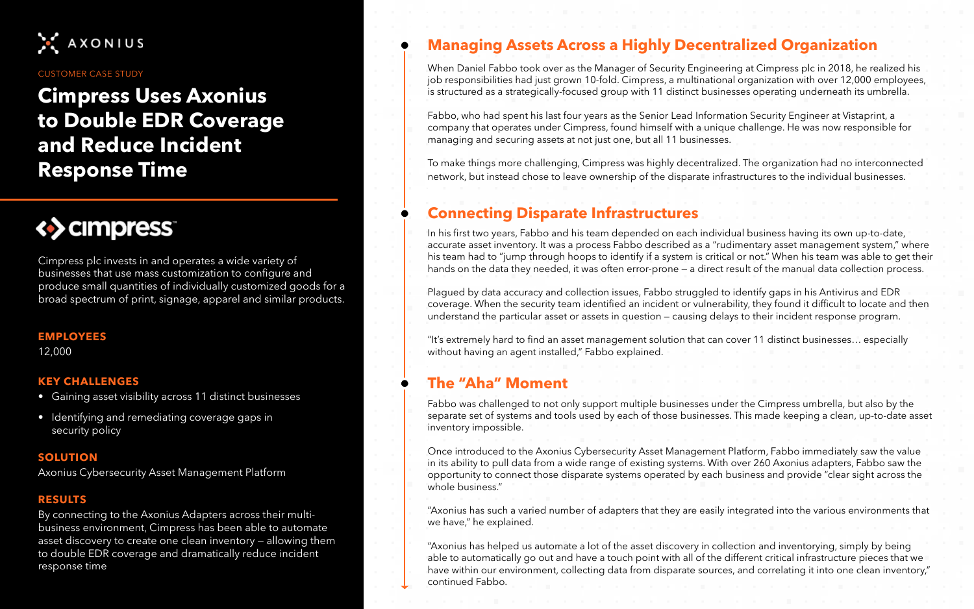## **Cimpress Uses Axonius to Double EDR Coverage and Reduce Incident Response Time**



Cimpress plc invests in and operates a wide variety of businesses that use mass customization to configure and produce small quantities of individually customized goods for a broad spectrum of print, signage, apparel and similar products.

### **Managing Assets Across a Highly Decentralized Organization**

When Daniel Fabbo took over as the Manager of Security Engineering at Cimpress plc in 2018, he realized his job responsibilities had just grown 10-fold. Cimpress, a multinational organization with over 12,000 employees, is structured as a strategically-focused group with 11 distinct businesses operating underneath its umbrella.

Fabbo, who had spent his last four years as the Senior Lead Information Security Engineer at Vistaprint, a company that operates under Cimpress, found himself with a unique challenge. He was now responsible for managing and securing assets at not just one, but all 11 businesses.

To make things more challenging, Cimpress was highly decentralized. The organization had no interconnected network, but instead chose to leave ownership of the disparate infrastructures to the individual businesses.

### **Connecting Disparate Infrastructures**

In his first two years, Fabbo and his team depended on each individual business having its own up-to-date, accurate asset inventory. It was a process Fabbo described as a "rudimentary asset management system," where his team had to "jump through hoops to identify if a system is critical or not." When his team was able to get their hands on the data they needed, it was often error-prone — a direct result of the manual data collection process.

Plagued by data accuracy and collection issues, Fabbo struggled to identify gaps in his Antivirus and EDR coverage. When the security team identified an incident or vulnerability, they found it difficult to locate and then understand the particular asset or assets in question — causing delays to their incident response program.

"It's extremely hard to find an asset management solution that can cover 11 distinct businesses… especially 12,000 without having an agent installed," Fabbo explained.

#### **EMPLOYEES**

- Gaining asset visibility across 11 distinct businesses
- Identifying and remediating coverage gaps in security policy

#### **KEY CHALLENGES**

Axonius Cybersecurity Asset Management Platform

#### **SOLUTION**

By connecting to the Axonius Adapters across their multibusiness environment, Cimpress has been able to automate asset discovery to create one clean inventory — allowing them to double EDR coverage and dramatically reduce incident response time

#### **RESULTS**



#### CUSTOMER CASE STUDY

### **The "Aha" Moment**

Fabbo was challenged to not only support multiple businesses under the Cimpress umbrella, but also by the separate set of systems and tools used by each of those businesses. This made keeping a clean, up-to-date asset inventory impossible.

Once introduced to the Axonius Cybersecurity Asset Management Platform, Fabbo immediately saw the value in its ability to pull data from a wide range of existing systems. With over 260 Axonius adapters, Fabbo saw the opportunity to connect those disparate systems operated by each business and provide "clear sight across the whole business."

"Axonius has such a varied number of adapters that they are easily integrated into the various environments that we have," he explained.

"Axonius has helped us automate a lot of the asset discovery in collection and inventorying, simply by being able to automatically go out and have a touch point with all of the different critical infrastructure pieces that we have within our environment, collecting data from disparate sources, and correlating it into one clean inventory," continued Fabbo.